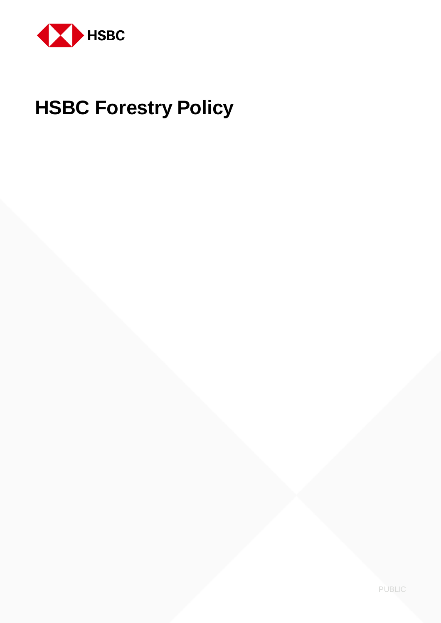

# **HSBC Forestry Policy**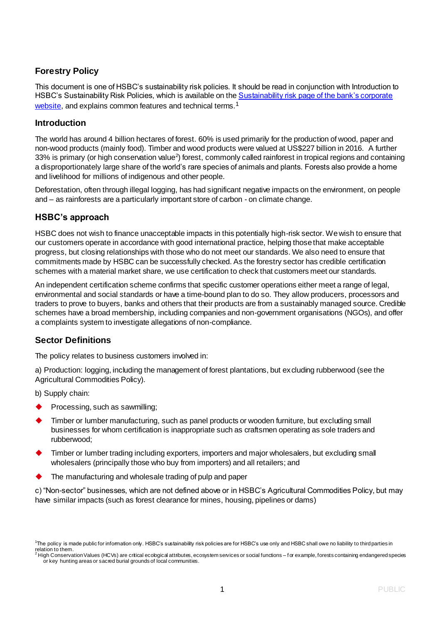## **Forestry Policy**

This document is one of HSBC's sustainability risk policies. It should be read in conjunction with Introduction to HSBC's Sustainability Risk Policies, which is available on the Sustainability risk page of the bank's corporate [website,](https://www.hsbc.com/our-approach/risk-and-responsibility/sustainability-risk) and explains common features and technical terms.<sup>1</sup>

#### **Introduction**

The world has around 4 billion hectares of forest. 60% is used primarily for the production of wood, paper and non-wood products (mainly food). Timber and wood products were valued at US\$227 billion in 2016. A further 33% is primary (or high conservation value<sup>2</sup>) forest, commonly called rainforest in tropical regions and containing a disproportionately large share of the world's rare species of animals and plants. Forests also provide a home and livelihood for millions of indigenous and other people.

Deforestation, often through illegal logging, has had significant negative impacts on the environment, on people and – as rainforests are a particularly important store of carbon - on climate change.

### **HSBC's approach**

HSBC does not wish to finance unacceptable impacts in this potentially high-risk sector. We wish to ensure that our customers operate in accordance with good international practice, helping those that make acceptable progress, but closing relationships with those who do not meet our standards. We also need to ensure that commitments made by HSBC can be successfully checked. As the forestry sector has credible certification schemes with a material market share, we use certification to check that customers meet our standards.

An independent certification scheme confirms that specific customer operations either meet a range of legal, environmental and social standards or have a time-bound plan to do so. They allow producers, processors and traders to prove to buyers, banks and others that their products are from a sustainably managed source. Credible schemes have a broad membership, including companies and non-government organisations (NGOs), and offer a complaints system to investigate allegations of non-compliance.

### **Sector Definitions**

The policy relates to business customers involved in:

a) Production: logging, including the management of forest plantations, but excluding rubberwood (see the Agricultural Commodities Policy).

b) Supply chain:

- Processing, such as sawmilling;
- Timber or lumber manufacturing, such as panel products or wooden furniture, but excluding small businesses for whom certification is inappropriate such as craftsmen operating as sole traders and rubberwood;
- Timber or lumber trading including exporters, importers and major wholesalers, but excluding small wholesalers (principally those who buy from importers) and all retailers; and
- The manufacturing and wholesale trading of pulp and paper

c) "Non-sector" businesses, which are not defined above or in HSBC's Agricultural Commodities Policy, but may have similar impacts (such as forest clearance for mines, housing, pipelines or dams)

<sup>&</sup>lt;sup>1</sup>The policy is made public for information only. HSBC's sustainability risk policies are for HSBC's use only and HSBC shall owe no liability to third parties in relation to them.

<sup>2</sup> High Conservation Values (HCVs) are critical ecological attributes, ecosystem services or social functions – f or example, forests containing endangered species or key hunting areas or sacred burial grounds of local communities.